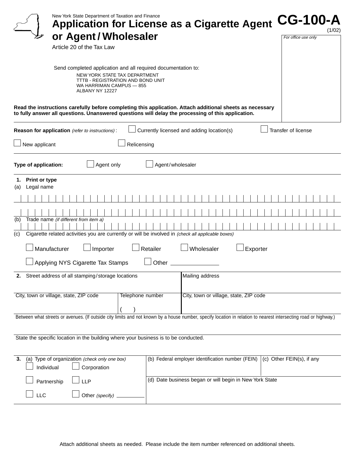| New York State Department of Taxation and Finance<br><b>Application for License as a Cigarette Agent</b><br>or Agent/Wholesaler<br>Article 20 of the Tax Law                                                                                            | <b>CG-100-A</b><br>(1/02)<br>For office use only |
|---------------------------------------------------------------------------------------------------------------------------------------------------------------------------------------------------------------------------------------------------------|--------------------------------------------------|
| Send completed application and all required documentation to:<br>NEW YORK STATE TAX DEPARTMENT<br>TTTB - REGISTRATION AND BOND UNIT<br>WA HARRIMAN CAMPUS - 855<br>ALBANY NY 12227                                                                      |                                                  |
| Read the instructions carefully before completing this application. Attach additional sheets as necessary<br>to fully answer all questions. Unanswered questions will delay the processing of this application.                                         |                                                  |
| Currently licensed and adding location(s)<br>Reason for application (refer to instructions):<br>New applicant<br>Relicensing                                                                                                                            | Transfer of license                              |
| Agent only<br>Agent/wholesaler<br>Type of application:                                                                                                                                                                                                  |                                                  |
| <b>Print or type</b><br>1.<br>Legal name<br>(a)<br>Trade name (if different from item a)<br>(b)<br>Cigarette related activities you are currently or will be involved in (check all applicable boxes)<br>(c)                                            |                                                  |
| Wholesaler<br>Manufacturer<br>Retailer<br>Importer<br>Exporter<br>Applying NYS Cigarette Tax Stamps<br>Other                                                                                                                                            |                                                  |
| Street address of all stamping/storage locations<br>Mailing address<br>2.                                                                                                                                                                               |                                                  |
| City, town or village, state, ZIP code<br>Telephone number<br>City, town or village, state, ZIP code                                                                                                                                                    |                                                  |
| Between what streets or avenues. (If outside city limits and not known by a house number, specify location in relation to nearest intersecting road or highway.)<br>State the specific location in the building where your business is to be conducted. |                                                  |
|                                                                                                                                                                                                                                                         |                                                  |
| (a) Type of organization (check only one box)<br>(b) Federal employer identification number (FEIN)<br>3.<br>Individual<br>Corporation                                                                                                                   | $(c)$ Other FEIN(s), if any                      |
| (d) Date business began or will begin in New York State<br>Partnership<br><b>LLP</b><br>LLC<br>Other (specify)                                                                                                                                          |                                                  |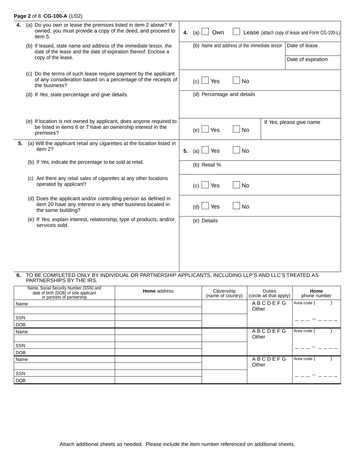### **Page 2** of 8 **CG-100-A** (1/02)

| 4. | (a) Do you own or lease the premises listed in item 2 above? If<br>owned, you must provide a copy of the deed, and proceed to<br>item 5.           | 4. | (a) | Own                        |                                              | Lease (attach copy of lease and Form CG-100-L) |
|----|----------------------------------------------------------------------------------------------------------------------------------------------------|----|-----|----------------------------|----------------------------------------------|------------------------------------------------|
|    | (b) If leased, state name and address of the immediate lessor, the<br>date of the lease and the date of expiration thereof. Enclose a              |    |     |                            | (b) Name and address of the immediate lessor | Date of lease                                  |
|    | copy of the lease.                                                                                                                                 |    |     |                            |                                              | Date of expiration                             |
|    | (c) Do the terms of such lease require payment by the applicant<br>of any consideration based on a percentage of the receipts of<br>the business?  |    | (c) | Yes                        | <b>No</b>                                    |                                                |
|    | (d) If Yes, state percentage and give details.                                                                                                     |    |     | (d) Percentage and details |                                              |                                                |
|    | (e) If location is not owned by applicant, does anyone required to<br>be listed in items 6 or 7 have an ownership interest in the<br>premises?     |    | (e) | $\Box$ Yes                 | <b>No</b>                                    | If Yes, please give name                       |
| 5. | (a) Will the applicant retail any cigarettes at the location listed in<br>item 2?                                                                  | 5. | (a) | Yes                        | No                                           |                                                |
|    | (b) If Yes, indicate the percentage to be sold at retail.                                                                                          |    |     | (b) Retail %               |                                              |                                                |
|    | (c) Are there any retail sales of cigarettes at any other locations<br>operated by applicant?                                                      |    | (c) | Yes                        | No                                           |                                                |
|    | (d) Does the applicant and/or controlling person as defined in<br>item 20 have any interest in any other business located in<br>the same building? |    | (d) | Yes                        | No                                           |                                                |
|    | (e) If Yes, explain interest, relationship, type of products, and/or<br>services sold.                                                             |    |     | (e) Details                |                                              |                                                |
|    |                                                                                                                                                    |    |     |                            |                                              |                                                |
|    |                                                                                                                                                    |    |     |                            |                                              |                                                |

#### **6.** TO BE COMPLETED ONLY BY INDIVIDUAL OR PARTNERSHIP APPLICANTS, INCLUDING LLP'S AND LLC'S TREATED AS PARTNERSHIPS BY THE IRS.

| Name, Social Security Number (SSN) and<br>date of birth (DOB) of sole applicant<br>or partners of partnership | <b>Home</b> address | Citizenship<br>(name of country) | <b>Duties</b><br>(circle all that apply) | Home<br>phone number |
|---------------------------------------------------------------------------------------------------------------|---------------------|----------------------------------|------------------------------------------|----------------------|
| Name                                                                                                          |                     |                                  | <b>ABCDEFG</b>                           | Area code (          |
|                                                                                                               |                     |                                  | Other                                    |                      |
| SSN                                                                                                           |                     |                                  |                                          |                      |
| <b>DOB</b>                                                                                                    |                     |                                  |                                          |                      |
| Name                                                                                                          |                     |                                  | <b>ABCDEFG</b>                           | Area code (          |
|                                                                                                               |                     |                                  | Other                                    |                      |
| SSN                                                                                                           |                     |                                  |                                          |                      |
| <b>DOB</b>                                                                                                    |                     |                                  |                                          |                      |
| Name                                                                                                          |                     |                                  | <b>ABCDEFG</b>                           | Area code            |
|                                                                                                               |                     |                                  | Other                                    |                      |
| SSN                                                                                                           |                     |                                  |                                          |                      |
| <b>DOB</b>                                                                                                    |                     |                                  |                                          |                      |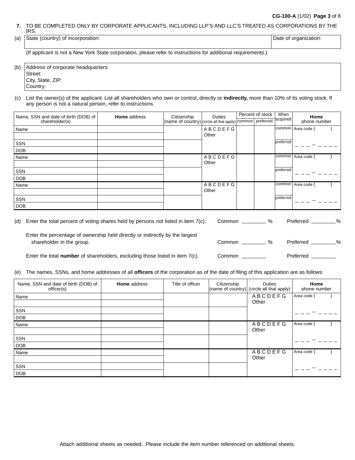### **CG-100-A** (1/02) **Page 3** of 8

**7.** TO BE COMPLETED ONLY BY CORPORATE APPLICANTS, INCLUDING LLP'S AND LLC'S TREATED AS CORPORATIONS BY THE IRS.

| (a) | State<br>(country)<br>™ incorporation.<br>ОT | Jate<br>or or<br>™anızatlon. |
|-----|----------------------------------------------|------------------------------|
|     |                                              |                              |

(If applicant is not a New York State corporation, please refer to instructions for additional requirements.)

(b) Address of corporate headquarters: Street: City, State, ZIP: Country:

(c) List the owner(s) of the applicant. List all shareholders who own or control, directly or **indirectly,** more than 10% of its voting stock. If any person is not a natural person, refer to instructions.

| Name, SSN and date of birth (DOB) of | <b>Home</b> address | Citizenship | Duties                                                              |  | When<br>Percent of stock |           | Home               |  |
|--------------------------------------|---------------------|-------------|---------------------------------------------------------------------|--|--------------------------|-----------|--------------------|--|
| shareholder(s)                       |                     |             | (name of country) (circle all that apply) common preferred acquired |  |                          |           | phone number       |  |
| Name                                 |                     |             | <b>ABCDEFG</b>                                                      |  |                          |           | common Area code ( |  |
|                                      |                     |             | Other                                                               |  |                          |           |                    |  |
| SSN                                  |                     |             |                                                                     |  |                          | preferred |                    |  |
| <b>DOB</b>                           |                     |             |                                                                     |  |                          |           |                    |  |
| Name                                 |                     |             | <b>ABCDEFG</b>                                                      |  |                          | common    | Area code          |  |
|                                      |                     |             | Other                                                               |  |                          |           |                    |  |
| SSN                                  |                     |             |                                                                     |  |                          | preferred |                    |  |
| <b>DOB</b>                           |                     |             |                                                                     |  |                          |           |                    |  |
| Name                                 |                     |             | <b>ABCDEFG</b>                                                      |  |                          | common    | Area code          |  |
|                                      |                     |             | Other                                                               |  |                          |           |                    |  |
| SSN                                  |                     |             |                                                                     |  |                          | preferred |                    |  |
| DOB                                  |                     |             |                                                                     |  |                          |           |                    |  |

| (d) | Enter the total percent of voting shares held by persons not listed in item $7(c)$ .                      | Common | %             | Preferred | % |
|-----|-----------------------------------------------------------------------------------------------------------|--------|---------------|-----------|---|
|     | Enter the percentage of ownership held directly or indirectly by the largest<br>shareholder in the group. | Common | $\frac{1}{2}$ | Preferred | % |
|     | Enter the total number of shareholders, excluding those listed in item 7(c).                              | Common |               | Preferred |   |

(e) The names, SSNs, and home addresses of all **officers** of the corporation as of the date of filing of this application are as follows:

| Name, SSN and date of birth (DOB) of<br>officer(s) | <b>Home</b> address | Title of officer | Citizenship | <b>Duties</b><br>(name of country) (circle all that apply) | Home<br>phone number |
|----------------------------------------------------|---------------------|------------------|-------------|------------------------------------------------------------|----------------------|
| Name                                               |                     |                  |             | ABCDEFG<br>Other                                           | Area code (          |
| SSN                                                |                     |                  |             |                                                            |                      |
| <b>DOB</b>                                         |                     |                  |             |                                                            |                      |
| Name                                               |                     |                  |             | <b>ABCDEFG</b><br>Other                                    | Area code (          |
| SSN                                                |                     |                  |             |                                                            |                      |
| <b>DOB</b>                                         |                     |                  |             |                                                            |                      |
| Name                                               |                     |                  |             | ABCDEFG                                                    | Area code (          |
|                                                    |                     |                  |             | Other                                                      |                      |
| SSN                                                |                     |                  |             |                                                            |                      |
| <b>DOB</b>                                         |                     |                  |             |                                                            |                      |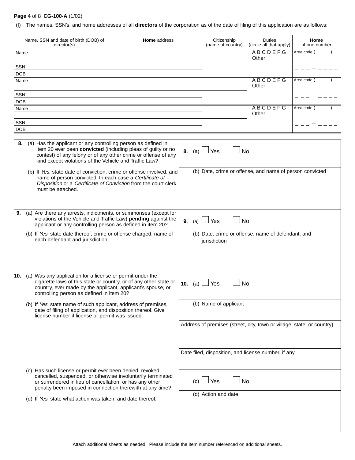## **Page 4** of 8 **CG-100-A** (1/02)

(f) The names, SSN's, and home addresses of all **directors** of the corporation as of the date of filing of this application are as follows:

| Name, SSN and date of birth (DOB) of<br>Home address<br>director(s) |                                                                                                                                                                                                                                                           |  | Citizenship<br>(name of country) | <b>Duties</b><br>(circle all that apply)                           | Home<br>phone number                                                   |             |  |
|---------------------------------------------------------------------|-----------------------------------------------------------------------------------------------------------------------------------------------------------------------------------------------------------------------------------------------------------|--|----------------------------------|--------------------------------------------------------------------|------------------------------------------------------------------------|-------------|--|
| Name                                                                |                                                                                                                                                                                                                                                           |  |                                  |                                                                    | <b>ABCDEFG</b>                                                         | Area code ( |  |
|                                                                     |                                                                                                                                                                                                                                                           |  |                                  |                                                                    | Other                                                                  |             |  |
| SSN<br><b>DOB</b>                                                   |                                                                                                                                                                                                                                                           |  |                                  |                                                                    |                                                                        |             |  |
| Name                                                                |                                                                                                                                                                                                                                                           |  |                                  |                                                                    | <b>ABCDEFG</b>                                                         | Area code ( |  |
|                                                                     |                                                                                                                                                                                                                                                           |  |                                  |                                                                    | Other                                                                  |             |  |
| SSN                                                                 |                                                                                                                                                                                                                                                           |  |                                  |                                                                    |                                                                        |             |  |
| <b>DOB</b><br>Name                                                  |                                                                                                                                                                                                                                                           |  |                                  |                                                                    | <b>ABCDEFG</b>                                                         | Area code ( |  |
|                                                                     |                                                                                                                                                                                                                                                           |  |                                  |                                                                    | Other                                                                  |             |  |
| SSN                                                                 |                                                                                                                                                                                                                                                           |  |                                  |                                                                    |                                                                        |             |  |
| <b>DOB</b>                                                          |                                                                                                                                                                                                                                                           |  |                                  |                                                                    |                                                                        |             |  |
| 8.                                                                  | (a) Has the applicant or any controlling person as defined in<br>item 20 ever been convicted (including pleas of guilty or no<br>contest) of any felony or of any other crime or offense of any<br>kind except violations of the Vehicle and Traffic Law? |  | 8. (a) $\Box$ Yes                | <b>No</b>                                                          |                                                                        |             |  |
|                                                                     | (b) If Yes, state date of conviction, crime or offense involved, and<br>name of person convicted. In each case a Certificate of<br>Disposition or a Certificate of Conviction from the court clerk<br>must be attached.                                   |  |                                  |                                                                    | (b) Date, crime or offense, and name of person convicted               |             |  |
| 9.                                                                  | (a) Are there any arrests, indictments, or summonses (except for<br>violations of the Vehicle and Traffic Law) pending against the<br>applicant or any controlling person as defined in item 20?                                                          |  | 9.<br>(a) l                      | <b>No</b><br>Yes                                                   |                                                                        |             |  |
|                                                                     | (b) If Yes, state date thereof, crime or offense charged, name of<br>each defendant and jurisdiction.                                                                                                                                                     |  |                                  | (b) Date, crime or offense, name of defendant, and<br>jurisdiction |                                                                        |             |  |
|                                                                     | 10. (a) Was any application for a license or permit under the<br>cigarette laws of this state or country, or of any other state or<br>country, ever made by the applicant, applicant's spouse, or<br>controlling person as defined in item 20?            |  | 10. (a)                          | No<br>Yes                                                          |                                                                        |             |  |
|                                                                     | (b) If Yes, state name of such applicant, address of premises,<br>date of filing of application, and disposition thereof. Give<br>license number if license or permit was issued.                                                                         |  |                                  | (b) Name of applicant                                              |                                                                        |             |  |
|                                                                     |                                                                                                                                                                                                                                                           |  |                                  |                                                                    | Address of premises (street, city, town or village, state, or country) |             |  |
|                                                                     |                                                                                                                                                                                                                                                           |  |                                  |                                                                    | Date filed, disposition, and license number, if any                    |             |  |
|                                                                     | (c) Has such license or permit ever been denied, revoked,<br>cancelled, suspended, or otherwise involuntarily terminated<br>or surrendered in lieu of cancellation, or has any other<br>penalty been imposed in connection therewith at any time?         |  |                                  | ∫ No<br>$(c)$ $\Box$ Yes                                           |                                                                        |             |  |
|                                                                     | (d) If Yes, state what action was taken, and date thereof.                                                                                                                                                                                                |  |                                  | (d) Action and date                                                |                                                                        |             |  |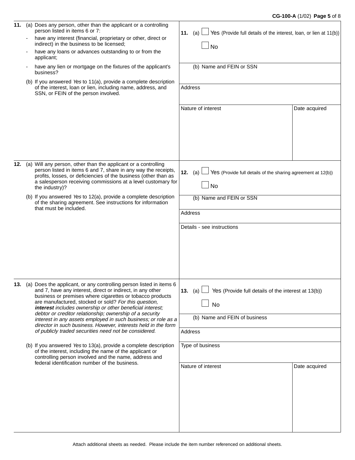### **CG-100-A** (1/02) **Page 5** of 8

| 11. | (a) Does any person, other than the applicant or a controlling<br>person listed in items 6 or 7:<br>have any interest (financial, proprietary or other, direct or                                                                                                                                                                                                                                                                                                                                                                                                                                                                                                                                                                                                                                                           | Yes (Provide full details of the interest, loan, or lien at 11(b))<br>11. (a)                                                          |               |
|-----|-----------------------------------------------------------------------------------------------------------------------------------------------------------------------------------------------------------------------------------------------------------------------------------------------------------------------------------------------------------------------------------------------------------------------------------------------------------------------------------------------------------------------------------------------------------------------------------------------------------------------------------------------------------------------------------------------------------------------------------------------------------------------------------------------------------------------------|----------------------------------------------------------------------------------------------------------------------------------------|---------------|
|     | indirect) in the business to be licensed;<br>have any loans or advances outstanding to or from the<br>applicant;                                                                                                                                                                                                                                                                                                                                                                                                                                                                                                                                                                                                                                                                                                            | <b>No</b>                                                                                                                              |               |
|     | have any lien or mortgage on the fixtures of the applicant's<br>business?                                                                                                                                                                                                                                                                                                                                                                                                                                                                                                                                                                                                                                                                                                                                                   | (b) Name and FEIN or SSN                                                                                                               |               |
|     | (b) If you answered Yes to 11(a), provide a complete description<br>of the interest, loan or lien, including name, address, and<br>SSN, or FEIN of the person involved.                                                                                                                                                                                                                                                                                                                                                                                                                                                                                                                                                                                                                                                     | Address                                                                                                                                |               |
|     |                                                                                                                                                                                                                                                                                                                                                                                                                                                                                                                                                                                                                                                                                                                                                                                                                             | Nature of interest                                                                                                                     | Date acquired |
| 12. | (a) Will any person, other than the applicant or a controlling<br>person listed in items 6 and 7, share in any way the receipts,<br>profits, losses, or deficiencies of the business (other than as<br>a salesperson receiving commissions at a level customary for<br>the industry)?<br>(b) If you answered Yes to 12(a), provide a complete description<br>of the sharing agreement. See instructions for information<br>that must be included.                                                                                                                                                                                                                                                                                                                                                                           | Yes (Provide full details of the sharing agreement at 12(b))<br>12. (a)<br><b>No</b><br>(b) Name and FEIN or SSN                       |               |
|     |                                                                                                                                                                                                                                                                                                                                                                                                                                                                                                                                                                                                                                                                                                                                                                                                                             | Address<br>Details - see instructions                                                                                                  |               |
|     | 13. (a) Does the applicant, or any controlling person listed in items 6<br>and 7, have any interest, direct or indirect, in any other<br>business or premises where cigarettes or tobacco products<br>are manufactured, stocked or sold? For this question,<br>interest includes ownership or other beneficial interest;<br>debtor or creditor relationship; ownership of a security<br>interest in any assets employed in such business; or role as a<br>director in such business. However, interests held in the form<br>of publicly traded securities need not be considered.<br>(b) If you answered Yes to 13(a), provide a complete description<br>of the interest, including the name of the applicant or<br>controlling person involved and the name, address and<br>federal identification number of the business. | Yes (Provide full details of the interest at 13(b))<br>13. $(a)$<br>No<br>(b) Name and FEIN of business<br>Address<br>Type of business |               |
|     |                                                                                                                                                                                                                                                                                                                                                                                                                                                                                                                                                                                                                                                                                                                                                                                                                             | Nature of interest                                                                                                                     | Date acquired |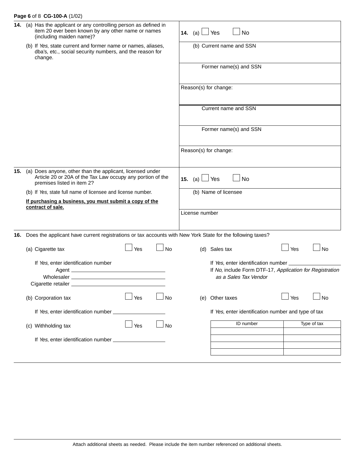## **Page 6** of 8 **CG-100-A** (1/02)

| 14. | (a) Has the applicant or any controlling person as defined in<br>item 20 ever been known by any other name or names<br>(including maiden name)?       |                                                                                                                |     |                                           | <b>14.</b> (a)                                      | Yes<br>No                                                      |                                                          |
|-----|-------------------------------------------------------------------------------------------------------------------------------------------------------|----------------------------------------------------------------------------------------------------------------|-----|-------------------------------------------|-----------------------------------------------------|----------------------------------------------------------------|----------------------------------------------------------|
|     | (b) If Yes, state current and former name or names, aliases,<br>dba's, etc., social security numbers, and the reason for<br>change.                   |                                                                                                                |     |                                           | (b) Current name and SSN                            |                                                                |                                                          |
|     |                                                                                                                                                       |                                                                                                                |     |                                           |                                                     | Former name(s) and SSN                                         |                                                          |
|     |                                                                                                                                                       |                                                                                                                |     |                                           | Reason(s) for change:                               |                                                                |                                                          |
|     |                                                                                                                                                       |                                                                                                                |     |                                           |                                                     | Current name and SSN                                           |                                                          |
|     |                                                                                                                                                       |                                                                                                                |     |                                           |                                                     | Former name(s) and SSN                                         |                                                          |
|     |                                                                                                                                                       |                                                                                                                |     |                                           | Reason(s) for change:                               |                                                                |                                                          |
| 15. | (a) Does anyone, other than the applicant, licensed under<br>Article 20 or 20A of the Tax Law occupy any portion of the<br>premises listed in item 2? |                                                                                                                |     | $\Box$ Yes<br><b>No</b><br><b>15.</b> (a) |                                                     |                                                                |                                                          |
|     |                                                                                                                                                       | (b) If Yes, state full name of licensee and license number.                                                    |     |                                           |                                                     | (b) Name of licensee                                           |                                                          |
|     |                                                                                                                                                       | If purchasing a business, you must submit a copy of the                                                        |     |                                           |                                                     |                                                                |                                                          |
|     |                                                                                                                                                       | contract of sale.                                                                                              |     |                                           |                                                     |                                                                |                                                          |
|     |                                                                                                                                                       |                                                                                                                |     |                                           | License number                                      |                                                                |                                                          |
|     |                                                                                                                                                       | 16. Does the applicant have current registrations or tax accounts with New York State for the following taxes? |     |                                           |                                                     |                                                                |                                                          |
|     |                                                                                                                                                       | (a) Cigarette tax                                                                                              | Yes | <b>No</b>                                 |                                                     | (d) Sales tax                                                  | Yes<br><b>No</b>                                         |
|     |                                                                                                                                                       | If Yes, enter identification number<br>Wholesaler<br>Cigarette retailer_                                       |     |                                           |                                                     | If Yes, enter identification number _<br>as a Sales Tax Vendor | If No, include Form DTF-17, Application for Registration |
|     |                                                                                                                                                       | (b) Corporation tax                                                                                            | Yes | <b>No</b>                                 | (e)                                                 | Other taxes                                                    | Yes<br><b>No</b>                                         |
|     | If Yes, enter identification number _                                                                                                                 |                                                                                                                |     |                                           | If Yes, enter identification number and type of tax |                                                                |                                                          |
|     |                                                                                                                                                       | (c) Withholding tax                                                                                            | Yes | <b>No</b>                                 |                                                     | <b>ID</b> number                                               | Type of tax                                              |
|     |                                                                                                                                                       |                                                                                                                |     |                                           |                                                     |                                                                |                                                          |
|     |                                                                                                                                                       |                                                                                                                |     |                                           |                                                     |                                                                |                                                          |
|     |                                                                                                                                                       |                                                                                                                |     |                                           |                                                     |                                                                |                                                          |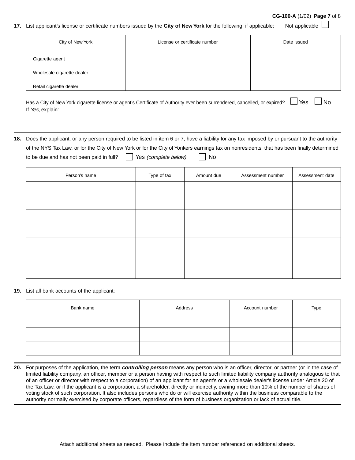#### **CG-100-A** (1/02) **Page 7** of 8

### **17.** List applicant's license or certificate numbers issued by the **City of New York** for the following, if applicable: Not applicable

| City of New York           | License or certificate number | Date issued |
|----------------------------|-------------------------------|-------------|
| Cigarette agent            |                               |             |
| Wholesale cigarette dealer |                               |             |
| Retail cigarette dealer    |                               |             |

Has a City of New York cigarette license or agent's Certificate of Authority ever been surrendered, cancelled, or expired?  $\Box$  Yes  $\Box$  No If Yes, explain:

**18.** Does the applicant, or any person required to be listed in item 6 or 7, have a liability for any tax imposed by or pursuant to the authority of the NYS Tax Law, or for the City of New York or for the City of Yonkers earnings tax on nonresidents, that has been finally determined to be due and has not been paid in full?  $\vert \vert$  Yes *(complete below)*  $\vert \vert$  No

| Person's name | Type of tax | Amount due | Assessment number | Assessment date |
|---------------|-------------|------------|-------------------|-----------------|
|               |             |            |                   |                 |
|               |             |            |                   |                 |
|               |             |            |                   |                 |
|               |             |            |                   |                 |
|               |             |            |                   |                 |
|               |             |            |                   |                 |
|               |             |            |                   |                 |

#### **19.** List all bank accounts of the applicant:

| Bank name | Address | Account number | Type |
|-----------|---------|----------------|------|
|           |         |                |      |
|           |         |                |      |
|           |         |                |      |

**20.** For purposes of the application, the term **controlling person** means any person who is an officer, director, or partner (or in the case of limited liability company, an officer, member or a person having with respect to such limited liability company authority analogous to that of an officer or director with respect to a corporation) of an applicant for an agent's or a wholesale dealer's license under Article 20 of the Tax Law, or if the applicant is a corporation, a shareholder, directly or indirectly, owning more than 10% of the number of shares of voting stock of such corporation. It also includes persons who do or will exercise authority within the business comparable to the authority normally exercised by corporate officers, regardless of the form of business organization or lack of actual title.